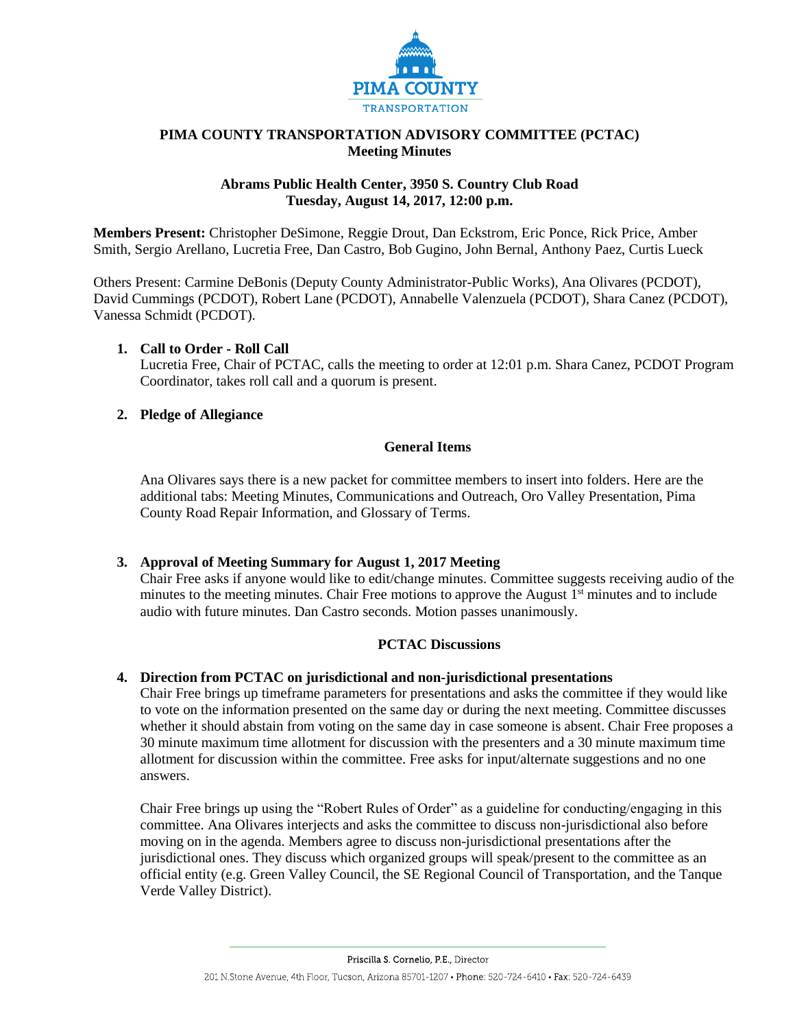

## **PIMA COUNTY TRANSPORTATION ADVISORY COMMITTEE (PCTAC) Meeting Minutes**

## **Abrams Public Health Center, 3950 S. Country Club Road Tuesday, August 14, 2017, 12:00 p.m.**

**Members Present:** Christopher DeSimone, Reggie Drout, Dan Eckstrom, Eric Ponce, Rick Price, Amber Smith, Sergio Arellano, Lucretia Free, Dan Castro, Bob Gugino, John Bernal, Anthony Paez, Curtis Lueck

Others Present: Carmine DeBonis (Deputy County Administrator-Public Works), Ana Olivares (PCDOT), David Cummings (PCDOT), Robert Lane (PCDOT), Annabelle Valenzuela (PCDOT), Shara Canez (PCDOT), Vanessa Schmidt (PCDOT).

# **1. Call to Order - Roll Call**

Lucretia Free, Chair of PCTAC, calls the meeting to order at 12:01 p.m. Shara Canez, PCDOT Program Coordinator, takes roll call and a quorum is present.

# **2. Pledge of Allegiance**

## **General Items**

Ana Olivares says there is a new packet for committee members to insert into folders. Here are the additional tabs: Meeting Minutes, Communications and Outreach, Oro Valley Presentation, Pima County Road Repair Information, and Glossary of Terms.

# **3. Approval of Meeting Summary for August 1, 2017 Meeting**

Chair Free asks if anyone would like to edit/change minutes. Committee suggests receiving audio of the minutes to the meeting minutes. Chair Free motions to approve the August  $1<sup>st</sup>$  minutes and to include audio with future minutes. Dan Castro seconds. Motion passes unanimously.

### **PCTAC Discussions**

### **4. Direction from PCTAC on jurisdictional and non-jurisdictional presentations**

Chair Free brings up timeframe parameters for presentations and asks the committee if they would like to vote on the information presented on the same day or during the next meeting. Committee discusses whether it should abstain from voting on the same day in case someone is absent. Chair Free proposes a 30 minute maximum time allotment for discussion with the presenters and a 30 minute maximum time allotment for discussion within the committee. Free asks for input/alternate suggestions and no one answers.

Chair Free brings up using the "Robert Rules of Order" as a guideline for conducting/engaging in this committee. Ana Olivares interjects and asks the committee to discuss non-jurisdictional also before moving on in the agenda. Members agree to discuss non-jurisdictional presentations after the jurisdictional ones. They discuss which organized groups will speak/present to the committee as an official entity (e.g. Green Valley Council, the SE Regional Council of Transportation, and the Tanque Verde Valley District).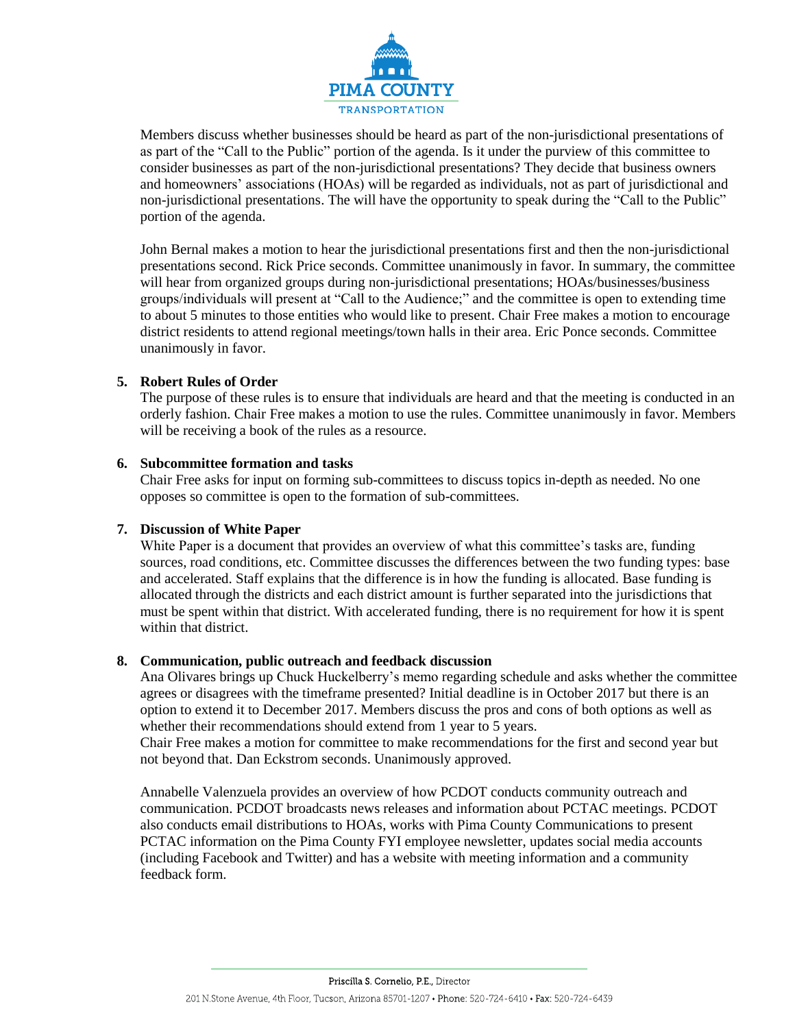

Members discuss whether businesses should be heard as part of the non-jurisdictional presentations of as part of the "Call to the Public" portion of the agenda. Is it under the purview of this committee to consider businesses as part of the non-jurisdictional presentations? They decide that business owners and homeowners' associations (HOAs) will be regarded as individuals, not as part of jurisdictional and non-jurisdictional presentations. The will have the opportunity to speak during the "Call to the Public" portion of the agenda.

John Bernal makes a motion to hear the jurisdictional presentations first and then the non-jurisdictional presentations second. Rick Price seconds. Committee unanimously in favor. In summary, the committee will hear from organized groups during non-jurisdictional presentations; HOAs/businesses/business groups/individuals will present at "Call to the Audience;" and the committee is open to extending time to about 5 minutes to those entities who would like to present. Chair Free makes a motion to encourage district residents to attend regional meetings/town halls in their area. Eric Ponce seconds. Committee unanimously in favor.

## **5. Robert Rules of Order**

The purpose of these rules is to ensure that individuals are heard and that the meeting is conducted in an orderly fashion. Chair Free makes a motion to use the rules. Committee unanimously in favor. Members will be receiving a book of the rules as a resource.

### **6. Subcommittee formation and tasks**

Chair Free asks for input on forming sub-committees to discuss topics in-depth as needed. No one opposes so committee is open to the formation of sub-committees.

# **7. Discussion of White Paper**

White Paper is a document that provides an overview of what this committee's tasks are, funding sources, road conditions, etc. Committee discusses the differences between the two funding types: base and accelerated. Staff explains that the difference is in how the funding is allocated. Base funding is allocated through the districts and each district amount is further separated into the jurisdictions that must be spent within that district. With accelerated funding, there is no requirement for how it is spent within that district.

### **8. Communication, public outreach and feedback discussion**

Ana Olivares brings up Chuck Huckelberry's memo regarding schedule and asks whether the committee agrees or disagrees with the timeframe presented? Initial deadline is in October 2017 but there is an option to extend it to December 2017. Members discuss the pros and cons of both options as well as whether their recommendations should extend from 1 year to 5 years.

Chair Free makes a motion for committee to make recommendations for the first and second year but not beyond that. Dan Eckstrom seconds. Unanimously approved.

Annabelle Valenzuela provides an overview of how PCDOT conducts community outreach and communication. PCDOT broadcasts news releases and information about PCTAC meetings. PCDOT also conducts email distributions to HOAs, works with Pima County Communications to present PCTAC information on the Pima County FYI employee newsletter, updates social media accounts (including Facebook and Twitter) and has a website with meeting information and a community feedback form.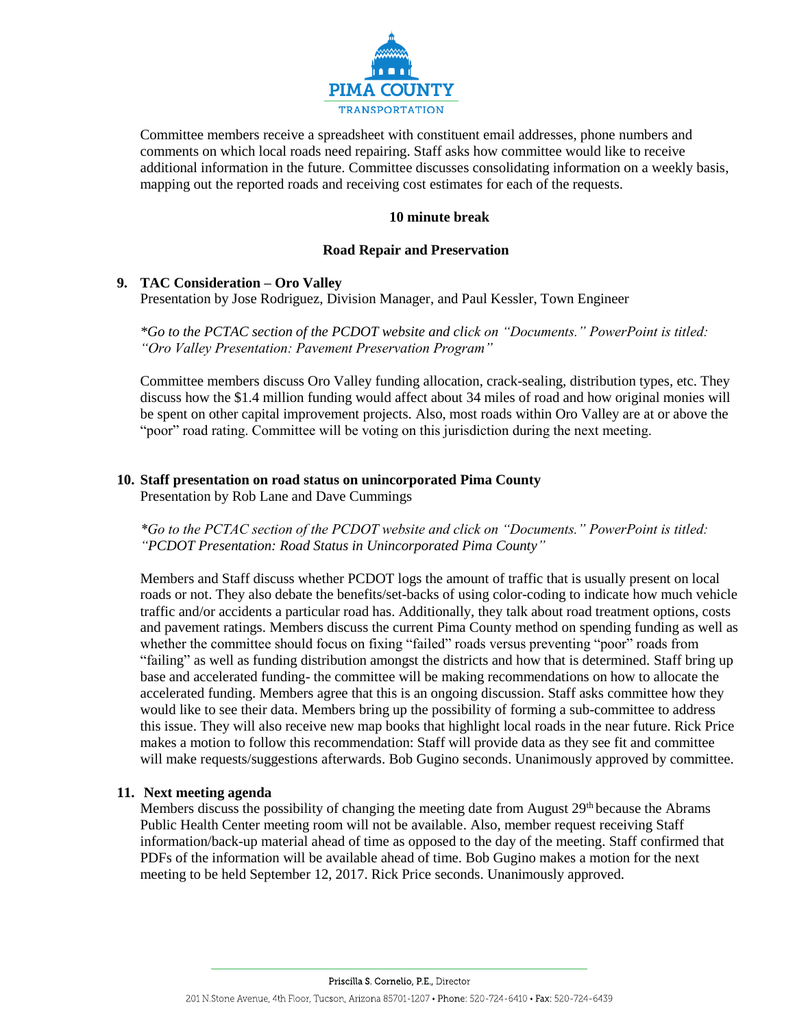

Committee members receive a spreadsheet with constituent email addresses, phone numbers and comments on which local roads need repairing. Staff asks how committee would like to receive additional information in the future. Committee discusses consolidating information on a weekly basis, mapping out the reported roads and receiving cost estimates for each of the requests.

### **10 minute break**

#### **Road Repair and Preservation**

### **9. TAC Consideration – Oro Valley**

Presentation by Jose Rodriguez, Division Manager, and Paul Kessler, Town Engineer

*\*Go to the PCTAC section of the PCDOT website and click on "Documents." PowerPoint is titled: "Oro Valley Presentation: Pavement Preservation Program"*

Committee members discuss Oro Valley funding allocation, crack-sealing, distribution types, etc. They discuss how the \$1.4 million funding would affect about 34 miles of road and how original monies will be spent on other capital improvement projects. Also, most roads within Oro Valley are at or above the "poor" road rating. Committee will be voting on this jurisdiction during the next meeting.

### **10. Staff presentation on road status on unincorporated Pima County**

Presentation by Rob Lane and Dave Cummings

*\*Go to the PCTAC section of the PCDOT website and click on "Documents." PowerPoint is titled: "PCDOT Presentation: Road Status in Unincorporated Pima County"*

Members and Staff discuss whether PCDOT logs the amount of traffic that is usually present on local roads or not. They also debate the benefits/set-backs of using color-coding to indicate how much vehicle traffic and/or accidents a particular road has. Additionally, they talk about road treatment options, costs and pavement ratings. Members discuss the current Pima County method on spending funding as well as whether the committee should focus on fixing "failed" roads versus preventing "poor" roads from "failing" as well as funding distribution amongst the districts and how that is determined. Staff bring up base and accelerated funding- the committee will be making recommendations on how to allocate the accelerated funding. Members agree that this is an ongoing discussion. Staff asks committee how they would like to see their data. Members bring up the possibility of forming a sub-committee to address this issue. They will also receive new map books that highlight local roads in the near future. Rick Price makes a motion to follow this recommendation: Staff will provide data as they see fit and committee will make requests/suggestions afterwards. Bob Gugino seconds. Unanimously approved by committee.

### **11. Next meeting agenda**

Members discuss the possibility of changing the meeting date from August 29<sup>th</sup> because the Abrams Public Health Center meeting room will not be available. Also, member request receiving Staff information/back-up material ahead of time as opposed to the day of the meeting. Staff confirmed that PDFs of the information will be available ahead of time. Bob Gugino makes a motion for the next meeting to be held September 12, 2017. Rick Price seconds. Unanimously approved.